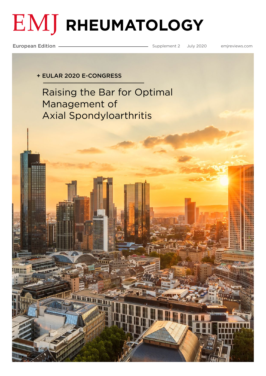# **EMJ RHEUMATOLOGY**

European Edition **Supplement 2 Supplement 2** July 2020 [emjreviews.com](https://www.emjreviews.com/)

+ EULAR 2020 E-CONGRESS

mararan n

[Raising the Bar for Optimal](#page-1-0)  Management of Axial Spondyloarthritis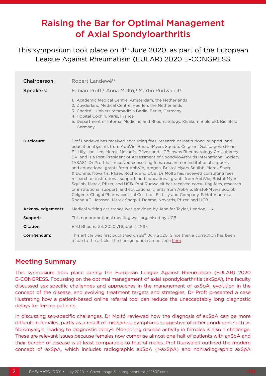# <span id="page-1-0"></span>Raising the Bar for Optimal Management of Axial Spondyloarthritis

This symposium took place on 4<sup>th</sup> June 2020, as part of the European League Against Rheumatism (EULAR) 2020 E-CONGRESS

| <b>Chairperson:</b> | Robert Landewé <sup>1,2</sup>                                                                                                                                                                                                                                                                                                                                                                                                                                                                                                                                                                                                                                                                                                                                                                                                                                                                                                                                                                                                                   |
|---------------------|-------------------------------------------------------------------------------------------------------------------------------------------------------------------------------------------------------------------------------------------------------------------------------------------------------------------------------------------------------------------------------------------------------------------------------------------------------------------------------------------------------------------------------------------------------------------------------------------------------------------------------------------------------------------------------------------------------------------------------------------------------------------------------------------------------------------------------------------------------------------------------------------------------------------------------------------------------------------------------------------------------------------------------------------------|
| <b>Speakers:</b>    | Fabian Proft, <sup>3</sup> Anna Moltó, <sup>4</sup> Martin Rudwaleit <sup>5</sup>                                                                                                                                                                                                                                                                                                                                                                                                                                                                                                                                                                                                                                                                                                                                                                                                                                                                                                                                                               |
|                     | 1. Academic Medical Centre, Amsterdam, the Netherlands<br>2. Zuyderland Medical Centre, Heerlen, the Netherlands<br>3. Charité - Universitätsmedizin Berlin, Berlin, Germany<br>4. Hôpital Cochin, Paris, France<br>5. Department of Internal Medicine and Rheumatology, Klinikum Bielefeld, Bielefeld,<br>Germany                                                                                                                                                                                                                                                                                                                                                                                                                                                                                                                                                                                                                                                                                                                              |
| Disclosure:         | Prof Landewé has received consulting fees, research or institutional support, and<br>educational grants from AbbVie, Bristol-Myers Squibb, Celgene, Galapagos, Gilead,<br>Eli Lilly, Janssen, Merck, Novartis, Pfizer, and UCB; owns Rheumatology Consultancy<br>BV; and is a Past-President of Assessment of SpondyloArthritis international Society<br>(ASAS). Dr Proft has received consulting fees, research or institutional support,<br>and educational grants from AbbVie, Amgen, Bristol-Myers Squibb, Merck Sharp<br>& Dohme, Novartis, Pfizer, Roche, and UCB. Dr Moltó has received consulting fees,<br>research or institutional support, and educational grants from AbbVie, Bristol-Myers<br>Squibb, Merck, Pfizer, and UCB. Prof Rudwaleit has received consulting fees, research<br>or institutional support, and educational grants from AbbVie, Bristol-Myers Squibb,<br>Celgene, Chugai Pharmaceutical Co., Ltd, Eli Lilly and Company, F. Hoffmann-La<br>Roche AG, Janssen, Merck Sharp & Dohme, Novartis, Pfizer, and UCB. |
| Acknowledgements:   | Medical writing assistance was provided by Jennifer Taylor, London, UK.                                                                                                                                                                                                                                                                                                                                                                                                                                                                                                                                                                                                                                                                                                                                                                                                                                                                                                                                                                         |
| Support:            | This nonpromotional meeting was organised by UCB.                                                                                                                                                                                                                                                                                                                                                                                                                                                                                                                                                                                                                                                                                                                                                                                                                                                                                                                                                                                               |
| <b>Citation:</b>    | EMJ Rheumatol. 2020;7[Suppl 2]:2-10.                                                                                                                                                                                                                                                                                                                                                                                                                                                                                                                                                                                                                                                                                                                                                                                                                                                                                                                                                                                                            |
| Corrigendum:        | This article was first published on 28 <sup>th</sup> July 2020. Since then a correction has been<br>made to the article. The corrigendum can be seen here.                                                                                                                                                                                                                                                                                                                                                                                                                                                                                                                                                                                                                                                                                                                                                                                                                                                                                      |

#### Meeting Summary

This symposium took place during the European League Against Rheumatism (EULAR) 2020 E-CONGRESS. Focussing on the optimal management of axial spondyloarthritis (axSpA), the faculty discussed sex-specific challenges and approaches in the management of axSpA, evolution in the concept of the disease, and evolving treatment targets and strategies. Dr Proft presented a case illustrating how a patient-based online referral tool can reduce the unacceptably long diagnostic delays for female patients.

In discussing sex-specific challenges, Dr Moltó reviewed how the diagnosis of axSpA can be more difficult in females, partly as a result of misleading symptoms suggestive of other conditions such as fibromyalgia, leading to diagnostic delays. Monitoring disease activity in females is also a challenge. These are relevant issues because females now comprise almost one-half of patients with axSpA and their burden of disease is at least comparable to that of males. Prof Rudwaleit outlined the modern concept of axSpA, which includes radiographic axSpA (r-axSpA) and nonradiographic axSpA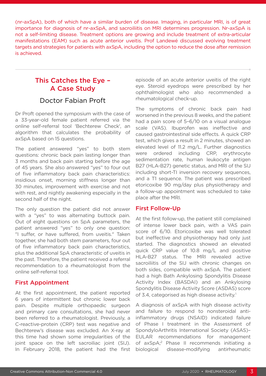(nr-axSpA), both of which have a similar burden of disease. Imaging, in particular MRI, is of great importance for diagnosis of nr-axSpA, and sacroiliitis on MRI determines progression. Nr-axSpA is not a self-limiting disease. Treatment options are growing and include treatment of extra-articular manifestations (EAM) such as acute anterior uveitis. Prof Landewé discussed evolving treatment targets and strategies for patients with axSpA, including the option to reduce the dose after remission is achieved.

## This Catches the Eye – A Case Study

#### Doctor Fabian Proft

Dr Proft opened the symposium with the case of a 33-year-old female patient referred via the online self-referral tool 'Bechterew Check', an algorithm that calculates the probability of axSpA based on 15 questions.

The patient answered "yes" to both stem questions: chronic back pain lasting longer than 3 months and back pain starting before the age of 45 years. She also answered "yes" to four out of five inflammatory back pain characteristics: insidious onset, morning stiffness longer than 30 minutes, improvement with exercise and not with rest, and nightly awakening especially in the second half of the night.

The only question the patient did not answer with a "yes" to was alternating buttock pain. Out of eight questions on SpA parameters, the patient answered "yes" to only one question: "I suffer, or have suffered, from uveitis." Taken together, she had both stem parameters, four out of five inflammatory back pain characteristics, plus the additional SpA characteristic of uveitis in the past. Therefore, the patient received a referral recommendation to a rheumatologist from the online self-referral tool.

#### First Appointment

At the first appointment, the patient reported 6 years of intermittent but chronic lower back pain. Despite multiple orthopaedic surgeon and primary care consultations, she had never been referred to a rheumatologist. Previously, a C-reactive-protein (CRP) test was negative and Bechterew's disease was excluded. An X-ray at this time had shown some irregularities of the joint space on the left sacroiliac joint (SIJ). In February 2018, the patient had the first

episode of an acute anterior uveitis of the right eye. Steroid eyedrops were prescribed by her ophthalmologist who also recommended a rheumatological check-up.

The symptoms of chronic back pain had worsened in the previous 8 weeks, and the patient had a pain score of 5–6/10 on a visual analogue scale (VAS). Ibuprofen was ineffective and caused gastrointestinal side effects. A quick CRP test, which gives a result in 2 minutes, showed an elevated level of 11.2 mg/L. Further diagnostics were ordered including CRP, erythrocyte sedimentation rate, human leukocyte antigen B27 (HLA-B27) genetic status, and MRI of the SIJ including short-TI inversion recovery sequences, and a T1 sequence. The patient was prescribed etoricoxibe 90 mg/day plus physiotherapy and a follow-up appointment was scheduled to take place after the MRI.

#### First Follow-Up

At the first follow-up, the patient still complained of intense lower back pain, with a VAS pain score of 6/10. Etoricoxibe was well tolerated but ineffective and physiotherapy had only just started. The diagnostics showed an elevated quick CRP value of 10.8 mg/L and positive HLA-B27 status. The MRI revealed active sacroiliitis of the SIJ with chronic changes on both sides, compatible with axSpA. The patient had a high Bath Ankylosing Spondylitis Disease Activity Index (BASDAI) and an Ankylosing Spondylitis Disease Activity Score (ASDAS) score of 3.4, categorised as high disease activity.<sup>1</sup>

A diagnosis of axSpA with high disease activity and failure to respond to nonsteroidal antiinflammatory drugs (NSAID) indicated failure of Phase I treatment in the Assessment of SpondyloArthritis International Society (ASAS)– EULAR recommendations for management of axSpA;2 Phase II recommends initiating a biological disease-modifying antirheumatic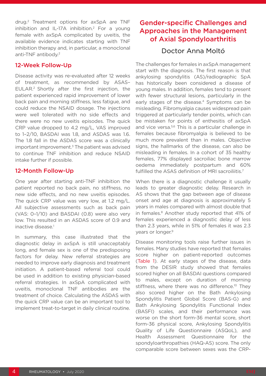drug.2 Treatment options for axSpA are TNF inhibition and IL-17A inhibition.2 For a young female with axSpA complicated by uveitis, the available evidence indicates starting with TNF inhibition therapy and, in particular, a monoclonal anti-TNF antibody.2

#### 12-Week Follow-Up

Disease activity was re-evaluated after 12 weeks of treatment, as recommended by ASAS– EULAR.2 Shortly after the first injection, the patient experienced rapid improvement of lower back pain and morning stiffness, less fatigue, and could reduce the NSAID dosage. The injections were well tolerated with no side effects and there were no new uveitis episodes. The quick CRP value dropped to 4.2 mg/L, VAS improved to 1–2/10, BASDAI was 1.8, and ASDAS was 1.6. The 1.8 fall in the ASDAS score was a clinically important improvement. $3$  The patient was advised to continue TNF inhibition and reduce NSAID intake further if possible.

#### 12-Month Follow-Up

One year after starting anti-TNF inhibition the patient reported no back pain, no stiffness, no new side effects, and no new uveitis episodes. The quick CRP value was very low, at 1.2 mg/L. All subjective assessments such as back pain (VAS: 0–1/10) and BASDAI (0.8) were also very low. This resulted in an ASDAS score of 0.9 and inactive disease.<sup>1</sup>

In summary, this case illustrated that the diagnostic delay in axSpA is still unacceptably long, and female sex is one of the predisposing factors for delay. New referral strategies are needed to improve early diagnosis and treatment initiation. A patient-based referral tool could be used in addition to existing physician-based referral strategies. In axSpA complicated with uveitis, monoclonal TNF antibodies are the treatment of choice. Calculating the ASDAS with the quick CRP value can be an important tool to implement treat-to-target in daily clinical routine.

## Gender-specific Challenges and Approaches in the Management of Axial Spondyloarthritis

#### Doctor Anna Moltó

The challenges for females in axSpA management start with the diagnosis. The first reason is that ankylosing spondylitis (AS)/radiographic SpA has historically been considered a disease of young males. In addition, females tend to present with fewer structural lesions, particularly in the early stages of the disease.<sup>4</sup> Symptoms can be misleading. Fibromyalgia causes widespread pain triggered at particularly tender points, which can be mistaken for points of enthesitis of axSpA and vice versa.5,6 This is a particular challenge in females because fibromyalgia is believed to be much more prevalent than in males. Objective signs, the hallmarks of the disease, can also be misleading in females. In a cohort of 35 healthy females, 77% displayed sacroiliac bone marrow oedema immediately postpartum and 60% fulfilled the ASAS definition of MRI sacroiliitis.<sup>7</sup>

When there is a diagnostic challenge it usually leads to greater diagnostic delay. Research in AS shows that the gap between age of disease onset and age at diagnosis is approximately 5 years in males compared with almost double that in females.8 Another study reported that 41% of females experienced a diagnostic delay of less than 2.3 years, while in 51% of females it was 2.3 years or longer.9

Disease monitoring tools raise further issues in females. Many studies have reported that females score higher on patient-reported outcomes (Table 1). At early stages of the disease, data from the DESIR study showed that females scored higher on all BASDAI questions compared to males, except on duration of morning stiffness, where there was no difference.<sup>10</sup> They also scored higher on the Bath Ankylosing Spondylitis Patient Global Score (BAS-G) and Bath Ankylosing Spondylitis Functional Index (BASFI) scales, and their performance was worse on the short form-36 mental score, short form-36 physical score, Ankylosing Spondylitis Quality of Life Questionnaire (ASQoL), and Health Assessment Questionnaire for the spondyloarthropathies (HAQ-AS) score. The only comparable score between sexes was the CRP-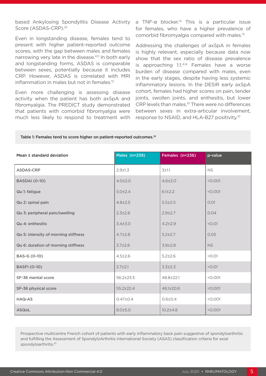based Ankylosing Spondylitis Disease Activity Score (ASDAS-CRP).<sup>10</sup>

Even in longstanding disease, females tend to present with higher patient-reported outcome scores, with the gap between males and females narrowing very late in the disease.<sup>4,11</sup> In both early and longstanding forms, ASDAS is comparable between sexes, potentially because it includes CRP. However, ASDAS is correlated with MRI inflammation in males but not in females.<sup>12</sup>

Even more challenging is assessing disease activity when the patient has both axSpA and fibromyalgia. The PREDICT study demonstrated that patients with comorbid fibromyalgia were much less likely to respond to treatment with a TNF-α blocker.<sup>13</sup> This is a particular issue for females, who have a higher prevalence of comorbid fibromyalgia compared with males.13

Addressing the challenges of axSpA in females is highly relevant, especially because data now show that the sex ratio of disease prevalence is approaching 1:1.4,14 Females have a worse burden of disease compared with males, even in the early stages, despite having less systemic inflammatory lesions. In the DESIR early axSpA cohort, females had higher scores on pain, tender joints, swollen joints, and enthesitis, but lower CRP levels than males.10 There were no differences between sexes in extra-articular involvement, response to NSAID, and HLA-B27 positivity.10

#### Table 1: Females tend to score higher on patient-reported outcomes.<sup>10</sup>

| Mean ± standard deviation            | <b>Males (n=239)</b> | Females (n=236) | p-value   |
|--------------------------------------|----------------------|-----------------|-----------|
| <b>ASDAS-CRP</b>                     | $2.9 + 1.3$          | 3±1.1           | <b>NS</b> |
| <b>BASDAI</b> (0-10)                 | $4.0 \pm 2.0$        | $4.6 \pm 2.0$   | < 0.001   |
| Qu 1: fatigue                        | $5.0 \pm 2.4$        | $6.1 \pm 2.2$   | < 0.001   |
| Qu 2: spinal pain                    | $4.8 \pm 2.5$        | $5.5 \pm 2.5$   | 0.01      |
| Qu 3: peripheral pain/swelling       | $2.3 \pm 2.8$        | $2.9 + 2.7$     | 0.04      |
| Qu 4: enthesitis                     | $3.4 + 3.0$          | $4.2 \pm 2.9$   | < 0.01    |
| Qu 5: intensity of morning stiffness | $4.7 \pm 2.8$        | $5.2 \pm 2.7$   | 0.05      |
| Qu 6: duration of morning stiffness  | $3.7 + 2.6$          | $3.9 + 2.8$     | <b>NS</b> |
| BAS-G (0-10)                         | $4.5 \pm 2.6$        | $5.2 \pm 2.6$   | < 0.01    |
| <b>BASFI (0-10)</b>                  | $2.7 + 2.1$          | $3.3 \pm 2.3$   | < 0.01    |
| SF-36 mental score                   | $56.2 \pm 23.5$      | 48.8±22.1       | < 0.001   |
| SF-36 physical score                 | $55.2 \pm 22.4$      | 48.1±20.8       | < 0.001   |
| <b>HAQ-AS</b>                        | $0.47{\pm}0.4$       | $0.6 + 0.4$     | < 0.001   |
| <b>ASQoL</b>                         | 8.0±5.0              | $10.2 \pm 4.8$  | < 0.001   |

Prospective multicentre French cohort of patients with early inflammatory back pain suggestive of spondyloarthritis and fulfilling the Assessment of SpondyloArthritis international Society (ASAS) classification criteria for axial spondyloarthritis.10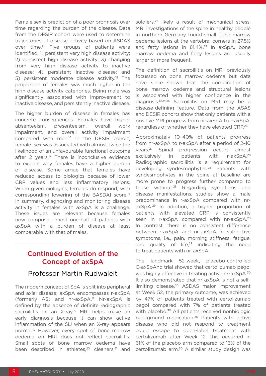Female sex is prediction of a poor prognosis over time regarding the burden of the disease. Data from the DESIR cohort were used to determine trajectories of disease activity based on ASDAS over time.<sup>15</sup> Five groups of patients were identified: 1) persistent very high disease activity; 2) persistent high disease activity; 3) changing from very high disease activity to inactive disease; 4) persistent inactive disease; and 5) persistent moderate disease activity.15 The proportion of females was much higher in the high disease activity categories. Being male was significantly associated with improvement to inactive disease, and persistently inactive disease.

The higher burden of disease in females has concrete consequences. Females have higher absenteeism, presenteeism, overall work impairment, and overall activity impairment compared with men.16 In the DESIR cohort, female sex was associated with almost twice the likelihood of an unfavourable functional outcome after 2 years.<sup>17</sup> There is inconclusive evidence to explain why females have a higher burden of disease. Some argue that females have reduced access to biologics because of lower CRP values and less inflammatory lesions. When given biologics, females do respond, with corresponding lowering of the BASDAI score.16 In summary, diagnosing and monitoring disease activity in females with axSpA is a challenge. These issues are relevant because females now comprise almost one-half of patients with axSpA with a burden of disease at least comparable with that of males.

### Continued Evolution of the Concept of axSpA

#### Professor Martin Rudwaleit

The modern concept of SpA is split into peripheral and axial disease; axSpA encompasses r-axSpA (formerly AS) and nr-axSpA.18 Nr-axSpA is defined by the absence of definite radiographic sacroiliitis on an X-ray.<sup>19</sup> MRI helps make an early diagnosis because it can show active inflammation of the SIJ when an X-ray appears normal.<sup>19</sup> However, every spot of bone marrow oedema on MRI does not reflect sacroiliitis. Small spots of bone marrow oedema have been described in athletes,<sup>20</sup> cleaners,<sup>21</sup> and soldiers,<sup>22</sup> likely a result of mechanical stress. MRI investigations of the spine in healthy people in northern Germany found small bone marrow oedema lesions at the vertebral corners in 27.5% and fatty lesions in 81.4%.<sup>23</sup> In axSpA, bone marrow oedema and fatty lesions are usually larger or more frequent.

The definition of sacroiliitis on MRI previously focussed on bone marrow oedema but data have since shown that the combination of bone marrow oedema and structural lesions is associated with higher confidence in the diagnosis.19,24,25 Sacroiliitis on MRI may be a disease-defining feature. Data from the ASAS and DESIR cohorts show that only patients with a positive MRI progress from nr-axSpA to r-axSpA, regardless of whether they have elevated CRP.26

Approximately 10–40% of patients progress from nr-axSpA to r-axSpA after a period of 2–10 years.27 Spinal progression occurs almost exclusively in patients with r-axSpA.<sup>28</sup> Radiographic sacroiliitis is a requirement for developing syndesmophytes.<sup>28</sup> Patients with syndesmophytes in the spine at baseline are more prone to progress further compared to those without.28 Regarding symptoms and disease manifestations, studies show a male predominance in r-axSpA compared with nraxSpA.29 In addition, a higher proportion of patients with elevated CRP is consistently seen in r-axSpA compared with nr-axSpA.<sup>29</sup> In contrast, there is no consistent difference between r-axSpA and nr-axSpA in subjective symptoms, i.e., pain, morning stiffness, fatigue, and quality of life. $29$  indicating the need to treat patients with nr-axSpA.

The landmark 52-week, placebo-controlled C-axSpAnd trial showed that certolizumab pegol was highly effective in treating active nr-axSpA.30 It also demonstrated that nr-axSpA is not a selflimiting disease.<sup>30</sup> ASDAS major improvement at Week 52, the primary outcome, was achieved by 47% of patients treated with certolizumab pegol compared with 7% of patients treated with placebo.<sup>30</sup> All patients received nonbiologic background medication.30 Patients with active disease who did not respond to treatment could escape to open-label treatment with certolizumab after Week 12; this occurred in 61% of the placebo arm compared to 13% of the certolizumab arm.30 A similar study design was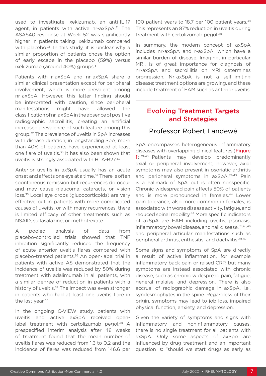used to investigate ixekizumab, an anti-IL-17 agent, in patients with active nr-axSpA.<sup>31</sup> The ASAS40 response at Week 52 was significantly higher in patients taking ixekizumab compared with placebo.<sup>31</sup> In this study, it is unclear why a similar proportion of patients chose the option of early escape in the placebo (59%) versus ixekizumab (around 40%) groups.<sup>31</sup>

Patients with r-axSpA and nr-axSpA share a similar clinical presentation except for peripheral involvement, which is more prevalent among nr-axSpA. However, this latter finding should be interpreted with caution, since peripheral manifestations might have allowed the classification of nr-axSpA in the absence of positive radiographic sacroiliitis, creating an artificial increased prevalence of such feature among this group.32 The prevalence of uveitis in SpA increases with disease duration; in longstanding SpA, more than 40% of patients have experienced at least one flare of uveitis.<sup>33</sup> It has also been shown that uveitis is strongly associated with HLA-B27.33

Anterior uveitis in axSpA usually has an acute onset and affects one eye at a time.<sup>34</sup> There is often spontaneous remission but recurrences do occur and may cause glaucoma, cataracts, or vision loss.35 Local eye drops (glucocorticoids) are very effective but in patients with more complicated causes of uveitis, or with many recurrences, there is limited efficacy of other treatments such as NSAID, sulfasalazine, or methotrexate.

A pooled analysis of data from placebo-controlled trials showed that TNF inhibition significantly reduced the frequency of acute anterior uveitis flares compared with placebo-treated patients.<sup>36</sup> An open-label trial in patients with active AS demonstrated that the incidence of uveitis was reduced by 50% during treatment with adalimumab in all patients, with a similar degree of reduction in patients with a history of uveitis.<sup>37</sup> The impact was even stronger in patients who had at least one uveitis flare in the last year.<sup>37</sup>

In the ongoing C-VIEW study, patients with uveitis and active axSpA received openlabel treatment with certolizumab pegol.<sup>38</sup> A prespecified interim analysis after 48 weeks of treatment found that the mean number of uveitis flares was reduced from 1.3 to 0.2 and the incidence of flares was reduced from 146.6 per 100 patient-years to 18.7 per 100 patient-years.<sup>38</sup> This represents an 87% reduction in uveitis during treatment with certolizumab pegol.<sup>38</sup>

In summary, the modern concept of axSpA includes nr-axSpA and r-axSpA, which have a similar burden of disease. Imaging, in particular MRI, is of great importance for diagnosis of nr-axSpA and sacroiliitis on MRI determines progression. Nr-axSpA is not a self-limiting disease; treatment options are growing, and these include treatment of EAM such as anterior uveitis.

## Evolving Treatment Targets and Strategies

### Professor Robert Landewé

SpA encompasses heterogeneous inflammatory diseases with overlapping clinical features (Figure 1).<sup>39-43</sup> Patients may develop predominantly axial or peripheral involvement; however, axial symptoms may also present in psoriatic arthritis and peripheral symptoms in axSpA.<sup>39-43</sup> Pain is a hallmark of SpA but is often nonspecific. Chronic widespread pain affects 50% of patients and is more pronounced in females.<sup>44</sup> Lower pain tolerance, also more common in females, is associated with worse disease activity, fatigue, and reduced spinal mobility.44 More specific indicators of axSpA are EAM including uveitis, psoriasis, inflammatory bowel disease, and nail disease, 39,45,46 and peripheral articular manifestations such as peripheral arthritis, enthesitis, and dactylitis.39,45

Some signs and symptoms of SpA are directly a result of active inflammation, for example inflammatory back pain or raised CRP, but many symptoms are instead associated with chronic disease, such as chronic widespread pain, fatigue, general malaise, and depression. There is also accrual of radiographic damage in axSpA, i.e., syndesmophytes in the spine. Regardless of their origin, symptoms may lead to job loss, impaired physical function, anxiety, and depression.

Given the variety of symptoms and signs with inflammatory and noninflammatory causes, there is no single treatment for all patients with axSpA. Only some aspects of axSpA are influenced by drug treatment and an important question is: "should we start drugs as early as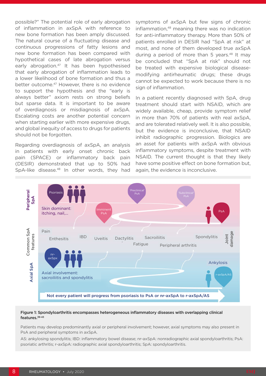possible?" The potential role of early abrogation of inflammation in axSpA with reference to new bone formation has been amply discussed. The natural course of a fluctuating disease and continuous progressions of fatty lesions and new bone formation has been compared with hypothetical cases of late abrogation versus early abrogation.<sup>47</sup> It has been hypothesised that early abrogation of inflammation leads to a lower likelihood of bone formation and thus a better outcome.<sup>47</sup> However, there is no evidence to support the hypothesis and the "early is always better" axiom rests on strong beliefs but sparse data. It is important to be aware of overdiagnosis or misdiagnosis of axSpA. Escalating costs are another potential concern when starting earlier with more expensive drugs, and global inequity of access to drugs for patients should not be forgotten.

Regarding overdiagnosis of axSpA, an analysis in patients with early onset chronic back pain (SPACE) or inflammatory back pain (DESIR) demonstrated that up to 50% had SpA-like disease.<sup>48</sup> In other words, they had

symptoms of axSpA but few signs of chronic inflammation,48 meaning there was no indication for anti-inflammatory therapy. More than 50% of patients enrolled in DESIR had "SpA at risk" at most, and none of them developed true axSpA during a period of more than 5 years. $48$  It may be concluded that "SpA at risk" should not be treated with expensive biological diseasemodifying antirheumatic drugs; these drugs cannot be expected to work because there is no sign of inflammation.

In a patient recently diagnosed with SpA, drug treatment should start with NSAID, which are widely available, cheap, provide symptom relief in more than 70% of patients with real axSpA, and are tolerated relatively well. It is also possible, but the evidence is inconclusive, that NSAID inhibit radiographic progression. Biologics are an asset for patients with axSpA with obvious inflammatory symptoms, despite treatment with NSAID. The current thought is that they likely have some positive effect on bone formation but, again, the evidence is inconclusive.



#### Figure 1: Spondyloarthritis encompasses heterogeneous inflammatory diseases with overlapping clinical features.39-43

Patients may develop predominantly axial or peripheral involvement; however, axial symptoms may also present in PsA and peripheral symptoms in axSpA.

AS: ankylosing spondylitis; IBD: inflammatory bowel disease; nr-axSpA: nonradiographic axial spondyloarthritis; PsA: psoriatic arthritis; r-axSpA: radiographic axial spondyloarthritis; SpA: spondyloarthritis.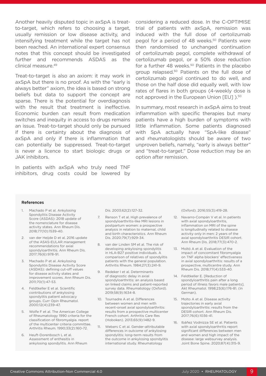Another heavily disputed topic in axSpA is treatto-target, which refers to choosing a target, usually remission or low disease activity, and intensifying treatment while the target has not been reached. An international expert consensus notes that this concept should be investigated further and recommends ASDAS as the clinical measure.49

Treat-to-target is also an axiom: it may work in axSpA but there is no proof. As with the "early is always better" axiom, the idea is based on strong beliefs but data to support the concept are sparse. There is the potential for overdiagnosis with the result that treatment is ineffective. Economic burden can result from medication switches and inequity in access to drugs remains an issue. Treat-to-target should only be pursued if there is certainty about the diagnosis of axSpA and only if there is inflammation that can potentially be suppressed. Treat-to-target is never a licence to start biologic drugs or JAK inhibitors.

In patients with axSpA who truly need TNF inhibitors, drug costs could be lowered by considering a reduced dose. In the C-OPTIMISE trial of patients with axSpA, remission was induced with the full dose of certolizumab pegol for a period of 48 weeks.<sup>50</sup> Patients were then randomised to unchanged continuation of certolizumab pegol, complete withdrawal of certolizumab pegol, or a 50% dose reduction for a further 48 weeks.<sup>50</sup> Patients in the placebo group relapsed.50 Patients on the full dose of certolizumab pegol continued to do well, and those on the half dose did equally well, with low rates of flares in both groups (4-weekly dose is not approved in the European Union [EU] ).<sup>50</sup>

In summary, most research in axSpA aims to treat inflammation with specific therapies but many patients have a high burden of symptoms with little inflammation. Some patients diagnosed with SpA actually have "SpA-like disease" and rheumatologists should be aware of two unproven beliefs, namely, "early is always better" and "treat-to-target." Dose reduction may be an option after remission.

#### References

- Machado P et al. Ankylosing Spondylitis Disease Activity Score (ASDAS): 2018 update of the nomenclature for disease activity states. Ann Rheum Dis. 2018;77(10):1539-40.
- 2. van der Heijde D et al. 2016 update of the ASAS-EULAR management recommendations for axial spondyloarthritis. Ann Rheum Dis. 2017;76(6):978-91.
- 3. Machado P et al. Ankylosing Spondylitis Disease Activity Score (ASDAS): defining cut-off values for disease activity states and improvement scores. Ann Rheum Dis. 2011;70(1):47-53.
- 4. Feldtkeller E et al. Scientific contributions of ankylosing spondylitis patient advocacy groups. Curr Opin Rheumatol. 2000;12(4):239-47.
- 5. Wolfe F et al. The American College of Rheumatology 1990 criteria for the classification of fibromyalgia. report of the multicenter criteria committee. Arthritis Rheum. 1990;33(2):160-72.
- 6. Heuft-Dorenbosch L et al. Assessment of enthesitis in ankylosing spondylitis. Ann Rheum

Dis. 2003;62(2):127-32.

- 7. Renson T et al. High prevalence of spondyloarthritis-like MRI lesions in postpartum women: a prospective analysis in relation to maternal, child and birth characteristics. Ann Rheum Dis. 2020;79(7):929-34.
- 8. van der Linden SM et al. The risk of developing ankylosing spondylitis in HLA-B27 positive individuals. A comparison of relatives of spondylitis patients with the general population. Arthritis Rheum. 1984;27(3):241-9.
- 9. Redeker I et al. Determinants of diagnostic delay in axial spondyloarthritis: an analysis based on linked claims and patient-reported survey data. Rheumatology (Oxford). 2019;58(9):1634-8.
- 10. Tournadre A et al. Differences between women and men with recent-onset axial spondyloarthritis: results from a prospective multicenter French cohort. Arthritis Care Res (Hoboken). 2013;65(9):1482-9.
- 11. Webers C et al. Gender-attributable differences in outcome of ankylosing spondylitis: long-term results from the outcome in ankylosing spondylitis international study. Rheumatology

(Oxford). 2016;55(3):419-28.

- 12. Navarro-Compán V et al. In patients with axial spondyloarthritis, inflammation on MRI of the spine is longitudinally related to disease activity only in men: 2 years of the axial spondyloarthritis DESIR cohort. Ann Rheum Dis. 2018;77(3):470-2.
- 13. Moltó A et al. Evaluation of the impact of concomitant fibromyalgia on TNF alpha blockers' effectiveness in axial spondyloarthritis: results of a prospective, multicentre study. Ann Rheum Dis. 2018;77(4):533-40.
- 14. Feldtkeller E. [Reduction of spondyloarthritis pain after a long period of illness favors male patients]. Akt Rheumatol. 1998;23(6):176-81. (In German).
- 15. Molto A et al. Disease activity trajectories in early axial spondyloarthritis: results from the DESIR cohort. Ann Rheum Dis. 2017;76(6):1036-41.
- 16. Ibáñez Vodnizza SE et al. Patients with axial spondyloarthritis report significant differences between men and women and high impact of the disease: large websurvey analysis. Joint Bone Spine. 2020;87(4):315-9.